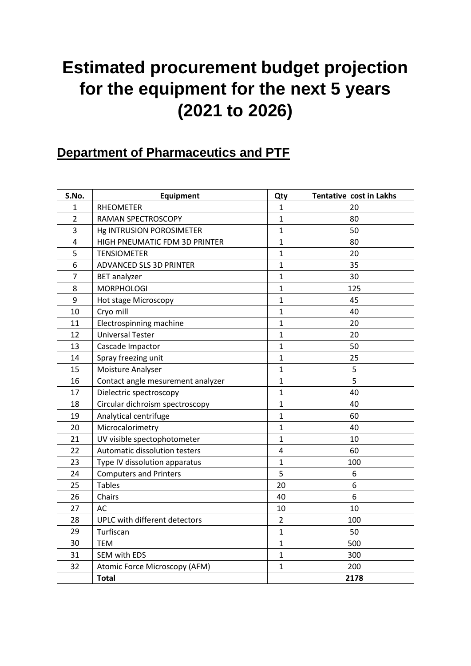## **Estimated procurement budget projection for the equipment for the next 5 years (2021 to 2026)**

### **Department of Pharmaceutics and PTF**

| S.No.          | Equipment                         | Qty                     | <b>Tentative cost in Lakhs</b> |
|----------------|-----------------------------------|-------------------------|--------------------------------|
| $\mathbf{1}$   | <b>RHEOMETER</b>                  | $\mathbf{1}$            | 20                             |
| $\overline{2}$ | RAMAN SPECTROSCOPY                | $\mathbf{1}$            | 80                             |
| 3              | Hg INTRUSION POROSIMETER          | $\mathbf{1}$            | 50                             |
| 4              | HIGH PNEUMATIC FDM 3D PRINTER     | $\mathbf{1}$            | 80                             |
| 5              | <b>TENSIOMETER</b>                | $\mathbf{1}$            | 20                             |
| 6              | ADVANCED SLS 3D PRINTER           | $\mathbf{1}$            | 35                             |
| $\overline{7}$ | <b>BET</b> analyzer               | $\mathbf{1}$            | 30                             |
| 8              | <b>MORPHOLOGI</b>                 | $\mathbf{1}$            | 125                            |
| 9              | Hot stage Microscopy              | $\mathbf{1}$            | 45                             |
| 10             | Cryo mill                         | $\mathbf{1}$            | 40                             |
| 11             | Electrospinning machine           | $\mathbf{1}$            | 20                             |
| 12             | <b>Universal Tester</b>           | $\mathbf{1}$            | 20                             |
| 13             | Cascade Impactor                  | $\mathbf{1}$            | 50                             |
| 14             | Spray freezing unit               | $\mathbf{1}$            | 25                             |
| 15             | Moisture Analyser                 | $\mathbf{1}$            | 5                              |
| 16             | Contact angle mesurement analyzer | $\mathbf{1}$            | 5                              |
| 17             | Dielectric spectroscopy           | $\mathbf{1}$            | 40                             |
| 18             | Circular dichroism spectroscopy   | $\mathbf{1}$            | 40                             |
| 19             | Analytical centrifuge             | $\mathbf{1}$            | 60                             |
| 20             | Microcalorimetry                  | $\mathbf{1}$            | 40                             |
| 21             | UV visible spectophotometer       | $\mathbf{1}$            | 10                             |
| 22             | Automatic dissolution testers     | $\overline{\mathbf{4}}$ | 60                             |
| 23             | Type IV dissolution apparatus     | $\mathbf{1}$            | 100                            |
| 24             | <b>Computers and Printers</b>     | 5                       | 6                              |
| 25             | <b>Tables</b>                     | 20                      | 6                              |
| 26             | Chairs                            | 40                      | $\boldsymbol{6}$               |
| 27             | <b>AC</b>                         | 10                      | 10                             |
| 28             | UPLC with different detectors     | $\overline{2}$          | 100                            |
| 29             | Turfiscan                         | $\mathbf{1}$            | 50                             |
| 30             | <b>TEM</b>                        | $\mathbf{1}$            | 500                            |
| 31             | SEM with EDS                      | $\mathbf{1}$            | 300                            |
| 32             | Atomic Force Microscopy (AFM)     | $\mathbf{1}$            | 200                            |
|                | <b>Total</b>                      |                         | 2178                           |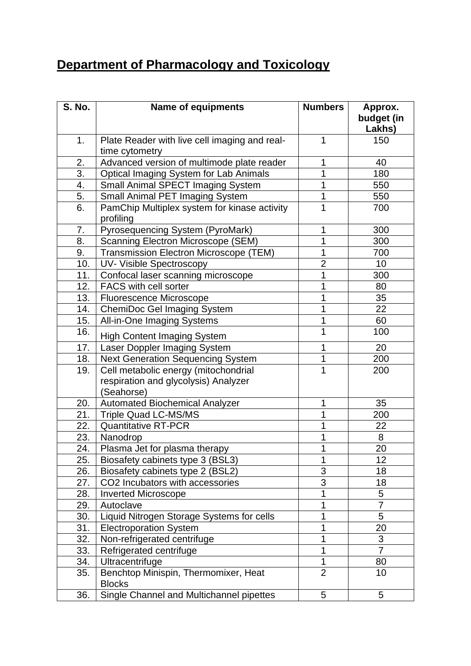### **Department of Pharmacology and Toxicology**

| <b>S. No.</b> | <b>Name of equipments</b>                                 | <b>Numbers</b> | Approx.<br>budget (in |
|---------------|-----------------------------------------------------------|----------------|-----------------------|
|               |                                                           |                | Lakhs)                |
| 1.            | Plate Reader with live cell imaging and real-             | $\mathbf{1}$   | 150                   |
|               | time cytometry                                            |                |                       |
| 2.            | Advanced version of multimode plate reader                | 1              | 40                    |
| 3.            | <b>Optical Imaging System for Lab Animals</b>             | 1              | 180                   |
| 4.            | Small Animal SPECT Imaging System                         | 1              | 550                   |
| 5.            | Small Animal PET Imaging System                           | 1              | 550                   |
| 6.            | PamChip Multiplex system for kinase activity<br>profiling | 1              | 700                   |
| 7.            | Pyrosequencing System (PyroMark)                          | 1              | 300                   |
| 8.            | <b>Scanning Electron Microscope (SEM)</b>                 | 1              | 300                   |
| 9.            | Transmission Electron Microscope (TEM)                    | 1              | 700                   |
| 10.           | UV- Visible Spectroscopy                                  | $\overline{2}$ | 10                    |
| 11.           | Confocal laser scanning microscope                        | 1              | 300                   |
| 12.           | FACS with cell sorter                                     | 1              | 80                    |
| 13.           | <b>Fluorescence Microscope</b>                            | 1              | 35                    |
| 14.           | <b>ChemiDoc Gel Imaging System</b>                        | $\overline{1}$ | 22                    |
| 15.           | All-in-One Imaging Systems                                | 1              | 60                    |
| 16.           | <b>High Content Imaging System</b>                        | 1              | 100                   |
| 17.           | Laser Doppler Imaging System                              | 1              | 20                    |
| 18.           | <b>Next Generation Sequencing System</b>                  | 1              | 200                   |
| 19.           | Cell metabolic energy (mitochondrial                      | 1              | 200                   |
|               | respiration and glycolysis) Analyzer                      |                |                       |
|               | (Seahorse)                                                |                |                       |
| 20.           | <b>Automated Biochemical Analyzer</b>                     | 1              | 35                    |
| 21.           | <b>Triple Quad LC-MS/MS</b>                               | 1              | 200                   |
| 22.           | <b>Quantitative RT-PCR</b>                                | 1              | 22                    |
| 23.           | Nanodrop                                                  | 1              | $\bf 8$               |
| 24.           | Plasma Jet for plasma therapy                             | 1              | 20                    |
| 25.           | Biosafety cabinets type 3 (BSL3)                          | 1              | 12                    |
| 26.           | Biosafety cabinets type 2 (BSL2)                          | 3              | 18                    |
| 27.           | CO2 Incubators with accessories                           | 3              | 18                    |
| 28.           | <b>Inverted Microscope</b>                                | 1              | 5                     |
| 29.           | Autoclave                                                 | 1              | $\overline{7}$        |
| 30.           | Liquid Nitrogen Storage Systems for cells                 | 1              | 5                     |
| 31.           | <b>Electroporation System</b>                             | 1              | 20                    |
| 32.           | Non-refrigerated centrifuge                               | 1              | 3                     |
| 33.           | Refrigerated centrifuge                                   | 1              | $\overline{7}$        |
| 34.           | Ultracentrifuge                                           | 1              | 80                    |
| 35.           | Benchtop Minispin, Thermomixer, Heat<br><b>Blocks</b>     | $\overline{2}$ | 10                    |
| 36.           | Single Channel and Multichannel pipettes                  | 5              | 5                     |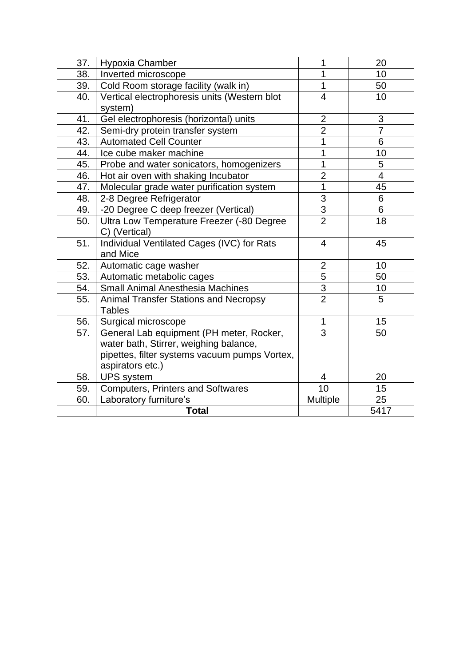| 37. | Hypoxia Chamber                               | 1              | 20             |
|-----|-----------------------------------------------|----------------|----------------|
| 38. | Inverted microscope                           | 1              | 10             |
| 39. | Cold Room storage facility (walk in)          | 1              | 50             |
| 40. | Vertical electrophoresis units (Western blot  | $\overline{4}$ | 10             |
|     | system)                                       |                |                |
| 41. | Gel electrophoresis (horizontal) units        | $\overline{2}$ | 3              |
| 42. | Semi-dry protein transfer system              | $\overline{2}$ | $\overline{7}$ |
| 43. | <b>Automated Cell Counter</b>                 | 1              | 6              |
| 44. | Ice cube maker machine                        | 1              | 10             |
| 45. | Probe and water sonicators, homogenizers      | 1              | 5              |
| 46. | Hot air oven with shaking Incubator           | $\overline{2}$ | $\overline{4}$ |
| 47. | Molecular grade water purification system     | 1              | 45             |
| 48. | 2-8 Degree Refrigerator                       | 3              | 6              |
| 49. | -20 Degree C deep freezer (Vertical)          | 3              | 6              |
| 50. | Ultra Low Temperature Freezer (-80 Degree     | $\overline{2}$ | 18             |
|     | C) (Vertical)                                 |                |                |
| 51. | Individual Ventilated Cages (IVC) for Rats    | 4              | 45             |
|     | and Mice                                      |                |                |
| 52. | Automatic cage washer                         | $\overline{2}$ | 10             |
| 53. | Automatic metabolic cages                     | 5              | 50             |
| 54. | <b>Small Animal Anesthesia Machines</b>       | $\frac{3}{2}$  | 10             |
| 55. | <b>Animal Transfer Stations and Necropsy</b>  |                | 5              |
|     | <b>Tables</b>                                 |                |                |
| 56. | Surgical microscope                           | 1              | 15             |
| 57. | General Lab equipment (PH meter, Rocker,      | $\overline{3}$ | 50             |
|     | water bath, Stirrer, weighing balance,        |                |                |
|     | pipettes, filter systems vacuum pumps Vortex, |                |                |
|     | aspirators etc.)                              |                |                |
| 58. | <b>UPS</b> system                             | 4              | 20             |
| 59. | <b>Computers, Printers and Softwares</b>      | 10             | 15             |
| 60. | Laboratory furniture's                        | Multiple       | 25             |
|     | <b>Total</b>                                  |                | 5417           |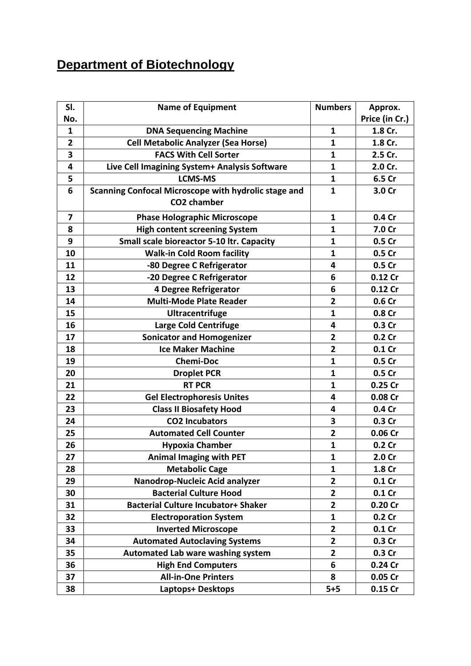### **Department of Biotechnology**

| SI.            | <b>Name of Equipment</b>                             | <b>Numbers</b>          | Approx.           |
|----------------|------------------------------------------------------|-------------------------|-------------------|
| No.            |                                                      |                         | Price (in Cr.)    |
| $\mathbf{1}$   | <b>DNA Sequencing Machine</b>                        | $\mathbf{1}$            | 1.8 Cr.           |
| $\overline{2}$ | <b>Cell Metabolic Analyzer (Sea Horse)</b>           | $\mathbf{1}$            | 1.8 Cr.           |
| 3              | <b>FACS With Cell Sorter</b>                         | 1                       | 2.5 Cr.           |
| 4              | Live Cell Imagining System+ Analysis Software        | $\mathbf{1}$            | 2.0 Cr.           |
| 5              | <b>LCMS-MS</b>                                       | $\mathbf{1}$            | 6.5 Cr            |
| 6              | Scanning Confocal Microscope with hydrolic stage and | $\mathbf{1}$            | 3.0 Cr            |
|                | CO2 chamber                                          |                         |                   |
| 7              | <b>Phase Holographic Microscope</b>                  | $\mathbf{1}$            | 0.4 Cr            |
| 8              | <b>High content screening System</b>                 | $\mathbf{1}$            | 7.0 Cr            |
| 9              | Small scale bioreactor 5-10 ltr. Capacity            | $\mathbf{1}$            | 0.5 Cr            |
| 10             | <b>Walk-in Cold Room facility</b>                    | $\mathbf{1}$            | 0.5 Cr            |
| 11             | -80 Degree C Refrigerator                            | 4                       | 0.5 Cr            |
| 12             | -20 Degree C Refrigerator                            | 6                       | 0.12 Cr           |
| 13             | 4 Degree Refrigerator                                | 6                       | 0.12 Cr           |
| 14             | <b>Multi-Mode Plate Reader</b>                       | $\overline{2}$          | 0.6 Cr            |
| 15             | <b>Ultracentrifuge</b>                               | $\mathbf{1}$            | 0.8 Cr            |
| 16             | <b>Large Cold Centrifuge</b>                         | 4                       | 0.3 Cr            |
| 17             | <b>Sonicator and Homogenizer</b>                     | $\overline{\mathbf{2}}$ | 0.2 <sub>cr</sub> |
| 18             | <b>Ice Maker Machine</b>                             | $\overline{2}$          | 0.1C              |
| 19             | <b>Chemi-Doc</b>                                     | $\mathbf{1}$            | 0.5 Cr            |
| 20             | <b>Droplet PCR</b>                                   | $\mathbf{1}$            | 0.5 Cr            |
| 21             | <b>RT PCR</b>                                        | $\mathbf{1}$            | 0.25 Cr           |
| 22             | <b>Gel Electrophoresis Unites</b>                    | 4                       | 0.08 Cr           |
| 23             | <b>Class II Biosafety Hood</b>                       | 4                       | 0.4 Cr            |
| 24             | <b>CO2 Incubators</b>                                | 3                       | 0.3 Cr            |
| 25             | <b>Automated Cell Counter</b>                        | $\overline{\mathbf{2}}$ | 0.06 Cr           |
| 26             | <b>Hypoxia Chamber</b>                               | $\mathbf{1}$            | 0.2 <sub>cr</sub> |
| 27             | <b>Animal Imaging with PET</b>                       | 1                       | 2.0 Cr            |
| 28             | <b>Metabolic Cage</b>                                | $\mathbf{1}$            | 1.8 Cr            |
| 29             | Nanodrop-Nucleic Acid analyzer                       | $\overline{2}$          | $0.1$ Cr          |
| 30             | <b>Bacterial Culture Hood</b>                        | $\overline{\mathbf{2}}$ | $0.1$ Cr          |
| 31             | <b>Bacterial Culture Incubator+ Shaker</b>           | $\overline{2}$          | 0.20 Cr           |
| 32             | <b>Electroporation System</b>                        | $\mathbf{1}$            | 0.2 <sub>cr</sub> |
| 33             | <b>Inverted Microscope</b>                           | $\overline{2}$          | 0.1 <sub>cr</sub> |
| 34             | <b>Automated Autoclaving Systems</b>                 | $\mathbf{2}$            | 0.3 Cr            |
| 35             | Automated Lab ware washing system                    | $\overline{2}$          | 0.3 Cr            |
| 36             | <b>High End Computers</b>                            | 6                       | 0.24 Cr           |
| 37             | <b>All-in-One Printers</b>                           | 8                       | 0.05 Cr           |
| 38             | Laptops+ Desktops                                    | $5+5$                   | $0.15$ Cr         |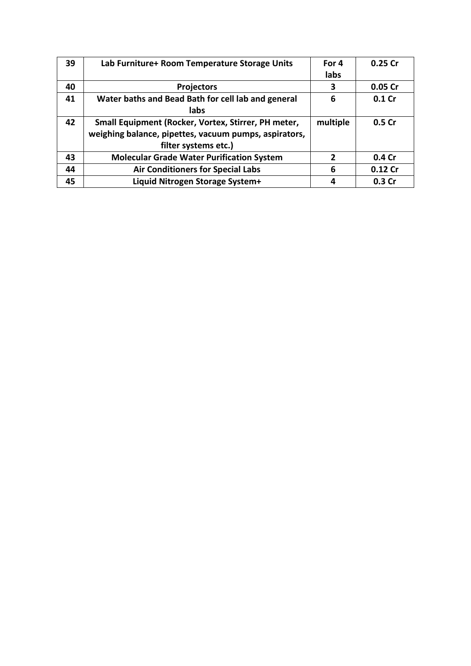| 39 | Lab Furniture+ Room Temperature Storage Units         | For 4    | 0.25 Cr |
|----|-------------------------------------------------------|----------|---------|
|    |                                                       | labs     |         |
| 40 | <b>Projectors</b>                                     | 3        | 0.05 Cr |
| 41 | Water baths and Bead Bath for cell lab and general    | 6        | 0.1 Cr  |
|    | labs                                                  |          |         |
| 42 | Small Equipment (Rocker, Vortex, Stirrer, PH meter,   | multiple | 0.5 Cr  |
|    | weighing balance, pipettes, vacuum pumps, aspirators, |          |         |
|    | filter systems etc.)                                  |          |         |
| 43 | <b>Molecular Grade Water Purification System</b>      | 2        | 0.4 Cr  |
| 44 | <b>Air Conditioners for Special Labs</b>              | 6        | 0.12 Cr |
| 45 | Liquid Nitrogen Storage System+                       | 4        | 0.3 Cr  |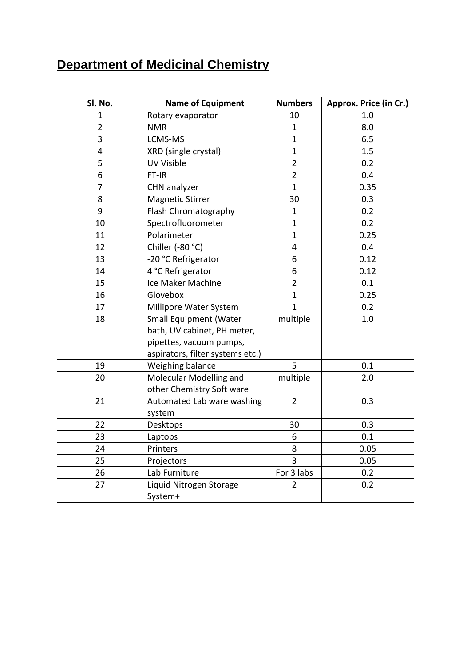### **Department of Medicinal Chemistry**

| Sl. No.        | <b>Name of Equipment</b>         | <b>Numbers</b> | Approx. Price (in Cr.) |
|----------------|----------------------------------|----------------|------------------------|
| 1              | Rotary evaporator                | 10             | 1.0                    |
| $\overline{2}$ | <b>NMR</b>                       | $\mathbf{1}$   | 8.0                    |
| 3              | LCMS-MS                          | $\mathbf{1}$   | 6.5                    |
| 4              | XRD (single crystal)             | $\mathbf{1}$   | 1.5                    |
| 5              | <b>UV Visible</b>                | $\overline{2}$ | 0.2                    |
| 6              | FT-IR                            | $\overline{2}$ | 0.4                    |
| 7              | CHN analyzer                     | $\mathbf{1}$   | 0.35                   |
| 8              | <b>Magnetic Stirrer</b>          | 30             | 0.3                    |
| 9              | Flash Chromatography             | $\mathbf{1}$   | 0.2                    |
| 10             | Spectrofluorometer               | $\mathbf{1}$   | 0.2                    |
| 11             | Polarimeter                      | $\mathbf{1}$   | 0.25                   |
| 12             | Chiller (-80 °C)                 | 4              | 0.4                    |
| 13             | -20 °C Refrigerator              | 6              | 0.12                   |
| 14             | 4 °C Refrigerator                | 6              | 0.12                   |
| 15             | Ice Maker Machine                | $\overline{2}$ | 0.1                    |
| 16             | Glovebox                         | $\mathbf{1}$   | 0.25                   |
| 17             | Millipore Water System           | $\mathbf{1}$   | 0.2                    |
| 18             | <b>Small Equipment (Water</b>    | multiple       | 1.0                    |
|                | bath, UV cabinet, PH meter,      |                |                        |
|                | pipettes, vacuum pumps,          |                |                        |
|                | aspirators, filter systems etc.) |                |                        |
| 19             | Weighing balance                 | 5              | 0.1                    |
| 20             | Molecular Modelling and          | multiple       | 2.0                    |
|                | other Chemistry Soft ware        |                |                        |
| 21             | Automated Lab ware washing       | $\overline{2}$ | 0.3                    |
|                | system                           |                |                        |
| 22             | Desktops                         | 30             | 0.3                    |
| 23             | Laptops                          | 6              | 0.1                    |
| 24             | Printers                         | 8              | 0.05                   |
| 25             | Projectors                       | $\overline{3}$ | 0.05                   |
| 26             | Lab Furniture                    | For 3 labs     | 0.2                    |
| 27             | Liquid Nitrogen Storage          | $\overline{2}$ | 0.2                    |
|                | System+                          |                |                        |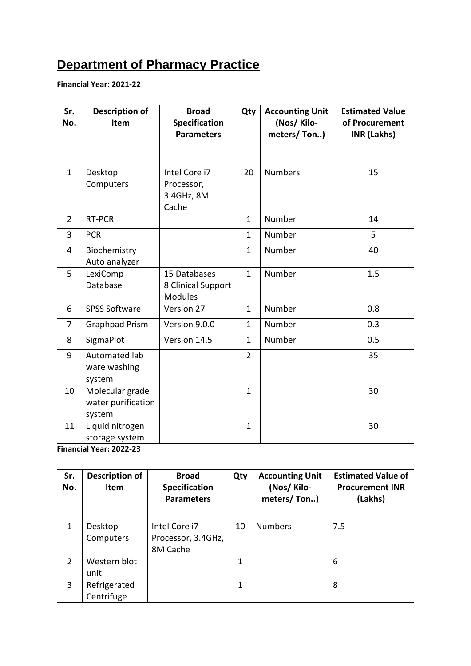### **Department of Pharmacy Practice**

**Financial Year: 2021-22**

| Sr.<br>No.     | <b>Description of</b><br>Item                   | <b>Broad</b><br><b>Specification</b><br><b>Parameters</b> | Qty            | <b>Accounting Unit</b><br>(Nos/Kilo-<br>meters/Ton) | <b>Estimated Value</b><br>of Procurement<br><b>INR (Lakhs)</b> |
|----------------|-------------------------------------------------|-----------------------------------------------------------|----------------|-----------------------------------------------------|----------------------------------------------------------------|
| $\mathbf{1}$   | Desktop<br>Computers                            | Intel Core i7<br>Processor,<br>3.4GHz, 8M<br>Cache        | 20             | <b>Numbers</b>                                      | 15                                                             |
| $\overline{2}$ | RT-PCR                                          |                                                           | $\mathbf{1}$   | Number                                              | 14                                                             |
| 3              | <b>PCR</b>                                      |                                                           | $\mathbf{1}$   | Number                                              | 5                                                              |
| 4              | Biochemistry<br>Auto analyzer                   |                                                           | $\mathbf{1}$   | Number                                              | 40                                                             |
| 5              | LexiComp<br>Database                            | 15 Databases<br>8 Clinical Support<br><b>Modules</b>      | $\mathbf{1}$   | Number                                              | 1.5                                                            |
| 6              | <b>SPSS Software</b>                            | Version 27                                                | $\mathbf{1}$   | Number                                              | 0.8                                                            |
| $\overline{7}$ | <b>Graphpad Prism</b>                           | Version 9.0.0                                             | $\mathbf{1}$   | Number                                              | 0.3                                                            |
| 8              | SigmaPlot                                       | Version 14.5                                              | $\mathbf{1}$   | Number                                              | 0.5                                                            |
| 9              | Automated lab<br>ware washing<br>system         |                                                           | $\overline{2}$ |                                                     | 35                                                             |
| 10             | Molecular grade<br>water purification<br>system |                                                           | $\mathbf{1}$   |                                                     | 30                                                             |
| 11             | Liquid nitrogen<br>storage system               |                                                           | $\mathbf{1}$   |                                                     | 30                                                             |

**Financial Year: 2022-23**

| Sr.<br>No.   | <b>Description of</b><br><b>Item</b> | <b>Broad</b><br><b>Specification</b><br><b>Parameters</b> | Qty | <b>Accounting Unit</b><br>(Nos/Kilo-<br>meters/Ton) | <b>Estimated Value of</b><br><b>Procurement INR</b><br>(Lakhs) |
|--------------|--------------------------------------|-----------------------------------------------------------|-----|-----------------------------------------------------|----------------------------------------------------------------|
| $\mathbf{1}$ | Desktop<br>Computers                 | Intel Core i7<br>Processor, 3.4GHz,<br>8M Cache           | 10  | <b>Numbers</b>                                      | 7.5                                                            |
| 2            | Western blot<br>unit                 |                                                           | 1   |                                                     | 6                                                              |
| 3            | Refrigerated<br>Centrifuge           |                                                           | 1   |                                                     | 8                                                              |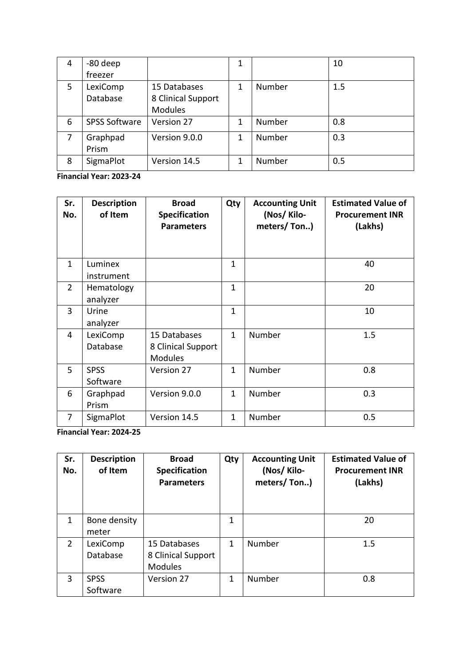| 4 | -80 deep             |                    | 1 |        | 10  |
|---|----------------------|--------------------|---|--------|-----|
|   | freezer              |                    |   |        |     |
| 5 | LexiComp             | 15 Databases       | 1 | Number | 1.5 |
|   | Database             | 8 Clinical Support |   |        |     |
|   |                      | <b>Modules</b>     |   |        |     |
| 6 | <b>SPSS Software</b> | Version 27         | 1 | Number | 0.8 |
| 7 | Graphpad             | Version 9.0.0      | 1 | Number | 0.3 |
|   | Prism                |                    |   |        |     |
| 8 | SigmaPlot            | Version 14.5       | 1 | Number | 0.5 |

**Financial Year: 2023-24**

| Sr.<br>No.     | <b>Description</b><br>of Item | <b>Broad</b><br><b>Specification</b><br><b>Parameters</b> | Qty          | <b>Accounting Unit</b><br>(Nos/Kilo-<br>meters/Ton) | <b>Estimated Value of</b><br><b>Procurement INR</b><br>(Lakhs) |
|----------------|-------------------------------|-----------------------------------------------------------|--------------|-----------------------------------------------------|----------------------------------------------------------------|
| $\mathbf{1}$   | Luminex<br>instrument         |                                                           | $\mathbf{1}$ |                                                     | 40                                                             |
| $\overline{2}$ | Hematology<br>analyzer        |                                                           | $\mathbf{1}$ |                                                     | 20                                                             |
| 3              | Urine<br>analyzer             |                                                           | $\mathbf{1}$ |                                                     | 10                                                             |
| 4              | LexiComp<br>Database          | 15 Databases<br>8 Clinical Support<br><b>Modules</b>      | $\mathbf{1}$ | Number                                              | 1.5                                                            |
| 5              | <b>SPSS</b><br>Software       | Version 27                                                | $\mathbf{1}$ | Number                                              | 0.8                                                            |
| 6              | Graphpad<br>Prism             | Version 9.0.0                                             | $\mathbf{1}$ | Number                                              | 0.3                                                            |
| 7              | SigmaPlot                     | Version 14.5                                              | $\mathbf{1}$ | Number                                              | 0.5                                                            |

**Financial Year: 2024-25**

| Sr.<br>No. | <b>Description</b><br>of Item | <b>Broad</b><br><b>Specification</b><br><b>Parameters</b> | Qty | <b>Accounting Unit</b><br>(Nos/Kilo-<br>meters/Ton) | <b>Estimated Value of</b><br><b>Procurement INR</b><br>(Lakhs) |
|------------|-------------------------------|-----------------------------------------------------------|-----|-----------------------------------------------------|----------------------------------------------------------------|
| 1          | Bone density<br>meter         |                                                           | 1   |                                                     | 20                                                             |
| 2          | LexiComp<br>Database          | 15 Databases<br>8 Clinical Support<br><b>Modules</b>      | 1   | Number                                              | 1.5                                                            |
| 3          | <b>SPSS</b><br>Software       | Version 27                                                | 1   | Number                                              | 0.8                                                            |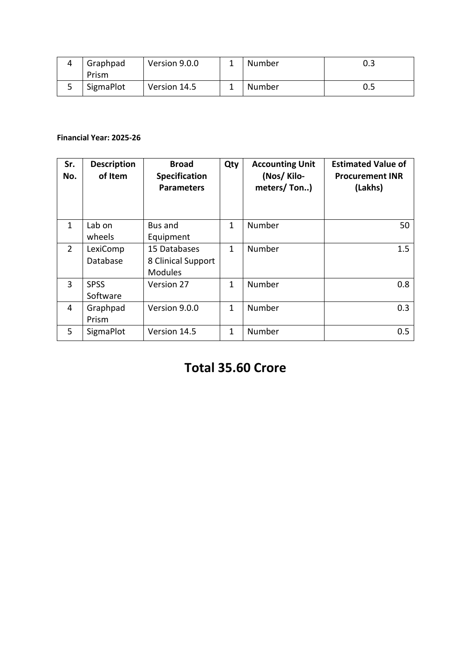| Graphpad  | Version 9.0.0 | - | Number | 0.3 |
|-----------|---------------|---|--------|-----|
| Prism     |               |   |        |     |
| SigmaPlot | Version 14.5  |   | Number | 0.5 |

#### **Financial Year: 2025-26**

| Sr.<br>No.     | <b>Description</b><br>of Item | <b>Broad</b><br><b>Specification</b><br><b>Parameters</b> | Qty          | <b>Accounting Unit</b><br>(Nos/Kilo-<br>meters/Ton) | <b>Estimated Value of</b><br><b>Procurement INR</b><br>(Lakhs) |
|----------------|-------------------------------|-----------------------------------------------------------|--------------|-----------------------------------------------------|----------------------------------------------------------------|
| $\mathbf{1}$   | Lab on<br>wheels              | Bus and<br>Equipment                                      | $\mathbf{1}$ | Number                                              | 50                                                             |
| $\overline{2}$ | LexiComp<br>Database          | 15 Databases<br>8 Clinical Support<br><b>Modules</b>      | 1            | Number                                              | 1.5                                                            |
| 3              | <b>SPSS</b><br>Software       | Version 27                                                | 1            | Number                                              | 0.8                                                            |
| 4              | Graphpad<br>Prism             | Version 9.0.0                                             | 1            | Number                                              | 0.3                                                            |
| 5              | SigmaPlot                     | Version 14.5                                              | 1            | Number                                              | 0.5                                                            |

### **Total 35.60 Crore**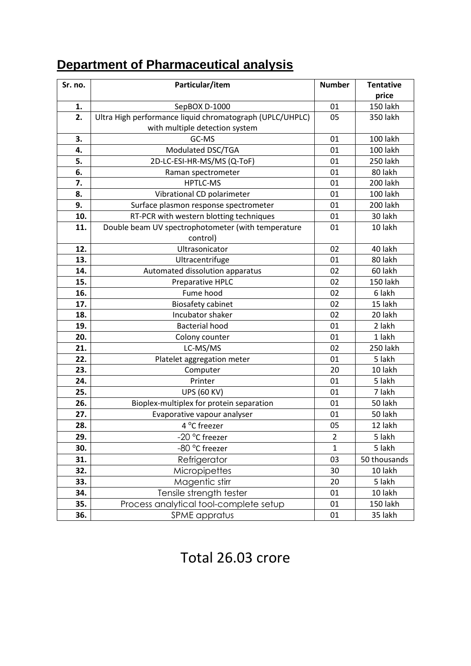### **Department of Pharmaceutical analysis**

| Sr. no. | Particular/item                                          | <b>Number</b>  | <b>Tentative</b> |
|---------|----------------------------------------------------------|----------------|------------------|
|         |                                                          |                | price            |
| 1.      | SepBOX D-1000                                            | 01             | <b>150 lakh</b>  |
| 2.      | Ultra High performance liquid chromatograph (UPLC/UHPLC) | 05             | 350 lakh         |
|         | with multiple detection system                           |                |                  |
| 3.      | GC-MS                                                    | 01             | 100 lakh         |
| 4.      | Modulated DSC/TGA                                        | 01             | 100 lakh         |
| 5.      | 2D-LC-ESI-HR-MS/MS (Q-ToF)                               | 01             | 250 lakh         |
| 6.      | Raman spectrometer                                       | 01             | 80 lakh          |
| 7.      | <b>HPTLC-MS</b>                                          | 01             | 200 lakh         |
| 8.      | Vibrational CD polarimeter                               | 01             | <b>100 lakh</b>  |
| 9.      | Surface plasmon response spectrometer                    | 01             | 200 lakh         |
| 10.     | RT-PCR with western blotting techniques                  | 01             | 30 lakh          |
| 11.     | Double beam UV spectrophotometer (with temperature       | 01             | 10 lakh          |
|         | control)                                                 |                |                  |
| 12.     | Ultrasonicator                                           | 02             | 40 lakh          |
| 13.     | Ultracentrifuge                                          | 01             | 80 lakh          |
| 14.     | Automated dissolution apparatus                          | 02             | 60 lakh          |
| 15.     | Preparative HPLC                                         | 02             | <b>150 lakh</b>  |
| 16.     | Fume hood                                                | 02             | 6 lakh           |
| 17.     | <b>Biosafety cabinet</b>                                 | 02             | 15 lakh          |
| 18.     | Incubator shaker                                         | 02             | 20 lakh          |
| 19.     | <b>Bacterial hood</b>                                    | 01             | 2 lakh           |
| 20.     | Colony counter                                           | 01             | 1 lakh           |
| 21.     | LC-MS/MS                                                 | 02             | 250 lakh         |
| 22.     | Platelet aggregation meter                               | 01             | 5 lakh           |
| 23.     | Computer                                                 | 20             | 10 lakh          |
| 24.     | Printer                                                  | 01             | 5 lakh           |
| 25.     | <b>UPS (60 KV)</b>                                       | 01             | 7 lakh           |
| 26.     | Bioplex-multiplex for protein separation                 | 01             | 50 lakh          |
| 27.     | Evaporative vapour analyser                              | 01             | 50 lakh          |
| 28.     | 4 °C freezer                                             | 05             | 12 lakh          |
| 29.     | -20 °C freezer                                           | $\overline{2}$ | 5 lakh           |
| 30.     | -80 °C freezer                                           | $\mathbf{1}$   | 5 lakh           |
| 31.     | Refrigerator                                             | 03             | 50 thousands     |
| 32.     | Micropipettes                                            | 30             | 10 lakh          |
| 33.     | Magentic stirr                                           | 20             | 5 lakh           |
| 34.     | Tensile strength tester                                  | 01             | 10 lakh          |
| 35.     | Process analytical tool-complete setup                   | 01             | 150 lakh         |
| 36.     | <b>SPME</b> appratus                                     | 01             | 35 lakh          |

### Total 26.03 crore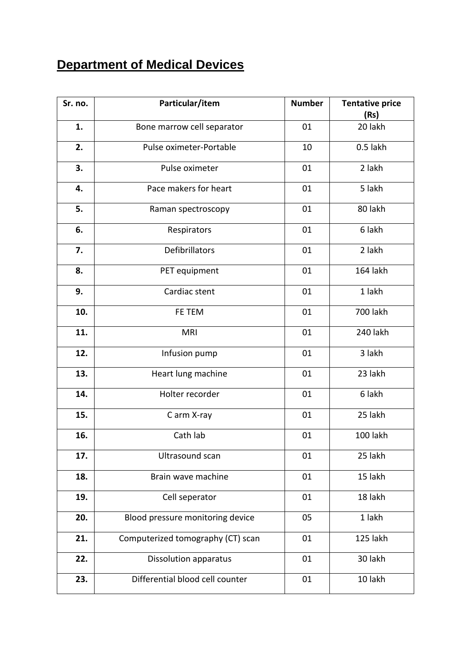### **Department of Medical Devices**

| Sr. no. | Particular/item                   | <b>Number</b> | <b>Tentative price</b><br>(Rs) |
|---------|-----------------------------------|---------------|--------------------------------|
| 1.      | Bone marrow cell separator        | 01            | 20 lakh                        |
| 2.      | Pulse oximeter-Portable           | 10            | 0.5 lakh                       |
| 3.      | Pulse oximeter                    | 01            | 2 lakh                         |
| 4.      | Pace makers for heart             | 01            | 5 lakh                         |
| 5.      | Raman spectroscopy                | 01            | 80 lakh                        |
| 6.      | Respirators                       | 01            | 6 lakh                         |
| 7.      | Defibrillators                    | 01            | 2 lakh                         |
| 8.      | PET equipment                     | 01            | 164 lakh                       |
| 9.      | Cardiac stent                     | 01            | 1 lakh                         |
| 10.     | FE TEM                            | 01            | <b>700 lakh</b>                |
| 11.     | <b>MRI</b>                        | 01            | 240 lakh                       |
| 12.     | Infusion pump                     | 01            | 3 lakh                         |
| 13.     | Heart lung machine                | 01            | 23 lakh                        |
| 14.     | Holter recorder                   | 01            | 6 lakh                         |
| 15.     | C arm X-ray                       | 01            | 25 lakh                        |
| 16.     | Cath lab                          | 01            | 100 lakh                       |
| 17.     | Ultrasound scan                   | 01            | 25 lakh                        |
| 18.     | Brain wave machine                | 01            | 15 lakh                        |
| 19.     | Cell seperator                    | 01            | 18 lakh                        |
| 20.     | Blood pressure monitoring device  | 05            | 1 lakh                         |
| 21.     | Computerized tomography (CT) scan | 01            | 125 lakh                       |
| 22.     | <b>Dissolution apparatus</b>      | 01            | 30 lakh                        |
| 23.     | Differential blood cell counter   | 01            | 10 lakh                        |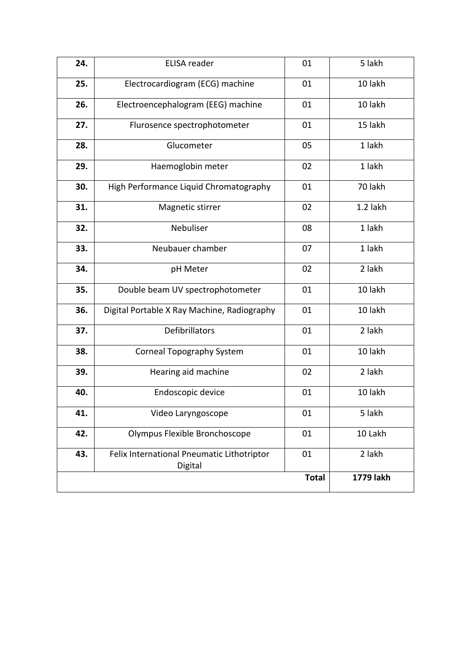| 24.<br><b>ELISA</b> reader<br>01<br>Electrocardiogram (ECG) machine<br>25.<br>01<br>26.<br>01<br>Electroencephalogram (EEG) machine<br>27.<br>Flurosence spectrophotometer<br>01<br>28.<br>Glucometer<br>05<br>29.<br>02<br>Haemoglobin meter<br>High Performance Liquid Chromatography<br>30.<br>01<br>02<br>31.<br>Magnetic stirrer<br>Nebuliser<br>32.<br>08<br>33.<br>Neubauer chamber<br>07<br>34.<br>02<br>pH Meter<br>35.<br>01<br>Double beam UV spectrophotometer<br>36.<br>Digital Portable X Ray Machine, Radiography<br>01<br>Defibrillators<br>01<br>37.<br><b>Corneal Topography System</b><br>01<br>38.<br>39.<br>Hearing aid machine<br>02<br>40.<br>Endoscopic device<br>01<br>Video Laryngoscope<br>01<br>41.<br>Olympus Flexible Bronchoscope<br>42.<br>01<br>43.<br>Felix International Pneumatic Lithotriptor<br>01 | 5 lakh    |
|------------------------------------------------------------------------------------------------------------------------------------------------------------------------------------------------------------------------------------------------------------------------------------------------------------------------------------------------------------------------------------------------------------------------------------------------------------------------------------------------------------------------------------------------------------------------------------------------------------------------------------------------------------------------------------------------------------------------------------------------------------------------------------------------------------------------------------------|-----------|
|                                                                                                                                                                                                                                                                                                                                                                                                                                                                                                                                                                                                                                                                                                                                                                                                                                          |           |
|                                                                                                                                                                                                                                                                                                                                                                                                                                                                                                                                                                                                                                                                                                                                                                                                                                          | 10 lakh   |
|                                                                                                                                                                                                                                                                                                                                                                                                                                                                                                                                                                                                                                                                                                                                                                                                                                          | 10 lakh   |
|                                                                                                                                                                                                                                                                                                                                                                                                                                                                                                                                                                                                                                                                                                                                                                                                                                          | 15 lakh   |
|                                                                                                                                                                                                                                                                                                                                                                                                                                                                                                                                                                                                                                                                                                                                                                                                                                          | 1 lakh    |
|                                                                                                                                                                                                                                                                                                                                                                                                                                                                                                                                                                                                                                                                                                                                                                                                                                          | 1 lakh    |
|                                                                                                                                                                                                                                                                                                                                                                                                                                                                                                                                                                                                                                                                                                                                                                                                                                          | 70 lakh   |
|                                                                                                                                                                                                                                                                                                                                                                                                                                                                                                                                                                                                                                                                                                                                                                                                                                          | 1.2 lakh  |
|                                                                                                                                                                                                                                                                                                                                                                                                                                                                                                                                                                                                                                                                                                                                                                                                                                          | 1 lakh    |
|                                                                                                                                                                                                                                                                                                                                                                                                                                                                                                                                                                                                                                                                                                                                                                                                                                          | 1 lakh    |
|                                                                                                                                                                                                                                                                                                                                                                                                                                                                                                                                                                                                                                                                                                                                                                                                                                          | 2 lakh    |
|                                                                                                                                                                                                                                                                                                                                                                                                                                                                                                                                                                                                                                                                                                                                                                                                                                          | 10 lakh   |
|                                                                                                                                                                                                                                                                                                                                                                                                                                                                                                                                                                                                                                                                                                                                                                                                                                          | 10 lakh   |
|                                                                                                                                                                                                                                                                                                                                                                                                                                                                                                                                                                                                                                                                                                                                                                                                                                          | 2 lakh    |
|                                                                                                                                                                                                                                                                                                                                                                                                                                                                                                                                                                                                                                                                                                                                                                                                                                          | 10 lakh   |
|                                                                                                                                                                                                                                                                                                                                                                                                                                                                                                                                                                                                                                                                                                                                                                                                                                          | 2 lakh    |
|                                                                                                                                                                                                                                                                                                                                                                                                                                                                                                                                                                                                                                                                                                                                                                                                                                          | 10 lakh   |
|                                                                                                                                                                                                                                                                                                                                                                                                                                                                                                                                                                                                                                                                                                                                                                                                                                          | 5 lakh    |
|                                                                                                                                                                                                                                                                                                                                                                                                                                                                                                                                                                                                                                                                                                                                                                                                                                          | 10 Lakh   |
| Digital                                                                                                                                                                                                                                                                                                                                                                                                                                                                                                                                                                                                                                                                                                                                                                                                                                  | 2 lakh    |
| <b>Total</b>                                                                                                                                                                                                                                                                                                                                                                                                                                                                                                                                                                                                                                                                                                                                                                                                                             | 1779 lakh |